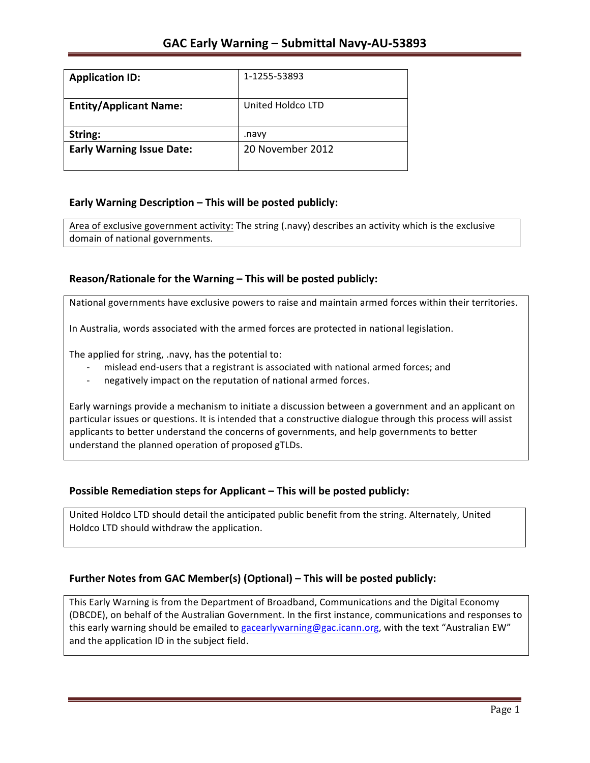| <b>Application ID:</b>           | 1-1255-53893      |
|----------------------------------|-------------------|
| <b>Entity/Applicant Name:</b>    | United Holdco LTD |
| String:                          | .navv             |
| <b>Early Warning Issue Date:</b> | 20 November 2012  |
|                                  |                   |

## **Early Warning Description – This will be posted publicly:**

Area of exclusive government activity: The string (.navy) describes an activity which is the exclusive domain of national governments.

## **Reason/Rationale for the Warning – This will be posted publicly:**

National governments have exclusive powers to raise and maintain armed forces within their territories.

In Australia, words associated with the armed forces are protected in national legislation.

The applied for string, .navy, has the potential to:

- mislead end-users that a registrant is associated with national armed forces; and
- negatively impact on the reputation of national armed forces.

Early warnings provide a mechanism to initiate a discussion between a government and an applicant on particular issues or questions. It is intended that a constructive dialogue through this process will assist applicants to better understand the concerns of governments, and help governments to better understand the planned operation of proposed gTLDs.

### **Possible Remediation steps for Applicant – This will be posted publicly:**

United Holdco LTD should detail the anticipated public benefit from the string. Alternately, United Holdco LTD should withdraw the application.

### **Further Notes from GAC Member(s) (Optional) – This will be posted publicly:**

This Early Warning is from the Department of Broadband, Communications and the Digital Economy (DBCDE), on behalf of the Australian Government. In the first instance, communications and responses to this early warning should be emailed to gacearlywarning@gac.icann.org, with the text "Australian EW" and the application ID in the subject field.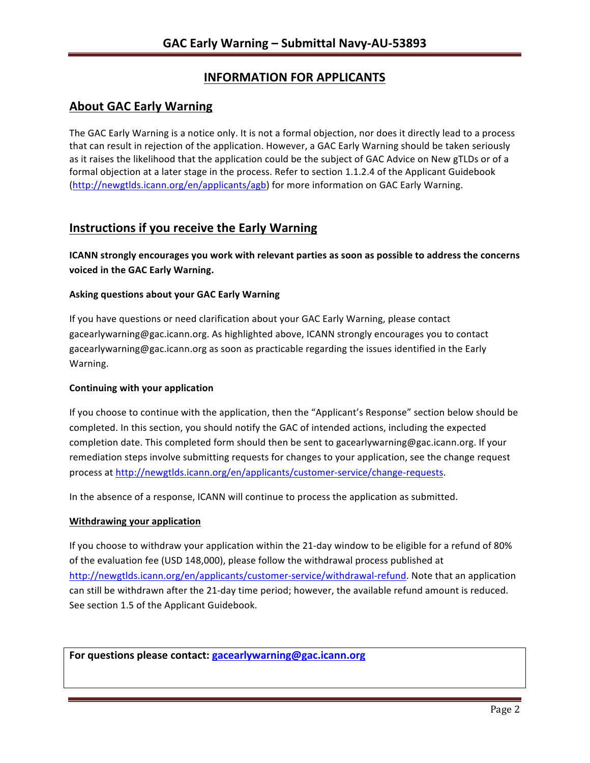# **INFORMATION FOR APPLICANTS**

# **About GAC Early Warning**

The GAC Early Warning is a notice only. It is not a formal objection, nor does it directly lead to a process that can result in rejection of the application. However, a GAC Early Warning should be taken seriously as it raises the likelihood that the application could be the subject of GAC Advice on New gTLDs or of a formal objection at a later stage in the process. Refer to section 1.1.2.4 of the Applicant Guidebook (http://newgtlds.icann.org/en/applicants/agb) for more information on GAC Early Warning.

## **Instructions if you receive the Early Warning**

**ICANN** strongly encourages you work with relevant parties as soon as possible to address the concerns **voiced in the GAC Early Warning.** 

#### **Asking questions about your GAC Early Warning**

If you have questions or need clarification about your GAC Early Warning, please contact gacearlywarning@gac.icann.org. As highlighted above, ICANN strongly encourages you to contact gacearlywarning@gac.icann.org as soon as practicable regarding the issues identified in the Early Warning. 

#### **Continuing with your application**

If you choose to continue with the application, then the "Applicant's Response" section below should be completed. In this section, you should notify the GAC of intended actions, including the expected completion date. This completed form should then be sent to gacearlywarning@gac.icann.org. If your remediation steps involve submitting requests for changes to your application, see the change request process at http://newgtlds.icann.org/en/applicants/customer-service/change-requests.

In the absence of a response, ICANN will continue to process the application as submitted.

#### **Withdrawing your application**

If you choose to withdraw your application within the 21-day window to be eligible for a refund of 80% of the evaluation fee (USD 148,000), please follow the withdrawal process published at http://newgtlds.icann.org/en/applicants/customer-service/withdrawal-refund. Note that an application can still be withdrawn after the 21-day time period; however, the available refund amount is reduced. See section 1.5 of the Applicant Guidebook.

For questions please contact: gacearlywarning@gac.icann.org